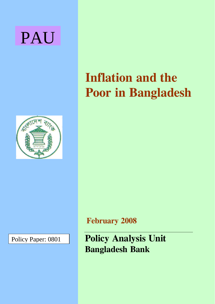



Policy Paper: 0801

# **Inflation and the Poor in Bangladesh**

**February 2008**

**Policy Analysis Unit Bangladesh Bank**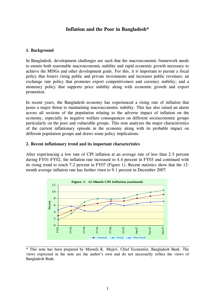# **Inflation and the Poor in Bangladesh\***

## **1. Background**

In Bangladesh, development challenges are such that the macroeconomic framework needs to ensure both reasonable macroeconomic stability and rapid economic growth necessary to achieve the MDGs and other development goals. For this, it is important to pursue a fiscal policy that fosters rising public and private investments and increases public revenues; an exchange rate policy that promotes export competitiveness and currency stability; and a monetary policy that supports price stability along with economic growth and export promotion.

In recent years, the Bangladesh economy has experienced a rising rate of inflation that poses a major threat to maintaining macroeconomic stability. This has also raised an alarm across all sections of the population relating to the adverse impact of inflation on the economy, especially its negative welfare consequences on different socioeconomic groups particularly on the poor and vulnerable groups. This note analyzes the major characteristics of the current inflationary episode in the economy along with its probable impact on different population groups and draws some policy implications.

#### **2. Recent inflationary trend and its important characteristics**

After experiencing a low rate of CPI inflation at an average rate of less than 2.5 percent during FY01-FY02, the inflation rate increased to 4.4 percent in FY03 and continued with its rising trend to reach 7.2 percent in FY07 (Figure 1). Recent statistics show that the 12 month average inflation rate has further risen to 9.1 percent in December 2007.



<sup>\*</sup> This note has been prepared by Mustafa K. Mujeri, Chief Economist, Bangladesh Bank. The views expressed in the note are the author's own and do not necessarily reflect the views of Bangladesh Bank.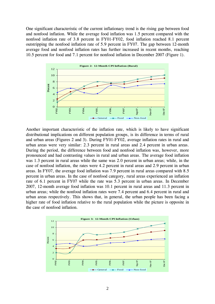One significant characteristic of the current inflationary trend is the rising gap between food and nonfood inflation. While the average food inflation was 1.5 percent compared with the nonfood inflation rate of 3.8 percent in FY01-FY02, food inflation reached 8.1 percent outstripping the nonfood inflation rate of 5.9 percent in FY07. The gap between 12-month average food and nonfood inflation rates has further increased in recent months, reaching 10.5 percent for food and 7.1 percent for nonfood inflation in December 2007 (Figure 1).



Another important characteristic of the inflation rate, which is likely to have significant distributional implications on different population groups, is its difference in terms of rural and urban areas (Figures 2 and 3). During FY01-FY02, average inflation rates in rural and urban areas were very similar: 2.3 percent in rural areas and 2.4 percent in urban areas. During the period, the difference between food and nonfood inflation was, however, more pronounced and had contrasting values in rural and urban areas. The average food inflation was 1.3 percent in rural areas while the same was 2.0 percent in urban areas; while, in the case of nonfood inflation, the rates were 4.2 percent in rural areas and 2.9 percent in urban areas. In FY07, the average food inflation was 7.9 percent in rural areas compared with 8.5 percent in urban areas. In the case of nonfood category, rural areas experienced an inflation rate of 6.1 percent in FY07 while the rate was 5.3 percent in urban areas. In December 2007, 12-month average food inflation was 10.1 percent in rural areas and 11.3 percent in urban areas; while the nonfood inflation rates were 7.4 percent and 6.4 percent in rural and urban areas respectively. This shows that, in general, the urban people has been facing a higher rate of food inflation relative to the rural population while the picture is opposite in the case of nonfood inflation.

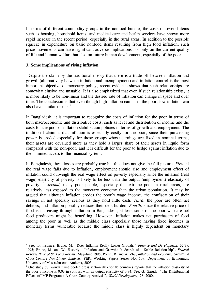In terms of different commodity groups in the nonfood bundle, the costs of several items such as housing, household items, and medical care and health services have shown more rapid increase in the recent period, especially in the rural areas. In addition to the possible squeeze in expenditure on basic nonfood items resulting from high food inflation, such price movements can have significant adverse implications not only on the current quality of life and human welfare but also on future human development, especially of the poor.

#### **3. Some implications of rising inflation**

1

 Despite the claim by the traditional theory that there is a trade off between inflation and growth (alternatively between inflation and unemployment) and inflation control is the most important objective of monetary policy, recent evidence shows that such relationships are somewhat elusive and unstable. It is also emphasized that even if such relationship exists, it is more likely to be non-linear and the desired rate of inflation can change in space and over time. The conclusion is that even though high inflation can harm the poor, low inflation can also have similar results. $<sup>1</sup>$  $<sup>1</sup>$  $<sup>1</sup>$ </sup>

In Bangladesh, it is important to recognize the costs of inflation for the poor in terms of both macroeconomic and distributive costs, such as level and distribution of income and the costs for the poor of inflation stabilization policies in terms of growth and employment. The traditional claim is that inflation is especially costly for the poor, since their purchasing power is eroded especially for those groups whose earnings are fixed in nominal terms, their assets are devalued more as they hold a larger share of their assets in liquid form compared with the non-poor, and it is difficult for the poor to hedge against inflation due to their limited access to the financial system.

In Bangladesh, these losses are probably true but this does not give the full picture. *First,* if the real wage falls due to inflation, employment should rise and employment effect of inflation could outweigh the real wage effect on poverty especially since the inflation (real wage) elasticity of poverty is likely to be less than the output (employment) elasticity of poverty. [2](#page-3-1) *Second,* many poor people, especially the extreme poor in rural areas, are relatively less exposed to the monetary economy than the urban population. It may be argued that although inflation erodes the poor's wage income, the confiscation of their savings in not specially serious as they hold little cash. *Third,* the poor are often net debtors, and inflation possibly reduces their debt burden. *Fourth,* since the relative price of food is increasing through inflation in Bangladesh, at least some of the poor who are net food producers might be benefiting. However, inflation makes net purchasers of food among the poor as well as the middle class especially those having fixed incomes in monetary terms vulnerable because the middle class is highly dependent on monetary

<span id="page-3-0"></span><sup>&</sup>lt;sup>1</sup> See, for instance, Bruno, M. "Does Inflation Really Lower Growth?" *Finance and Development*, 32(3), 1995; Bruno, M. and W. Easterly, "Inflation and Growth: In Search of a Stable Relationship", *Federal Reserve Bank of St. Louis Review,* May-June 1996; Pollin, R. and A. Zhu, *Inflation and Economic Growth: A Cross-Country Non-Linear Analysis,* PERI Working Papers Series No. 109, Department of Economics, University of Massachusetts, Amherst, 2005.

<span id="page-3-1"></span><sup>&</sup>lt;sup>2</sup> One study by Garuda using pooled cross section data for 85 countries reports that the inflation elasticity of the poor's income is 0.03 in contrast with an output elasticity of 0.94. See, G. Garuda, "The Distributional Effects of IMF Programs: A Cross-Country Analysis", *World Development,* 28, 2000.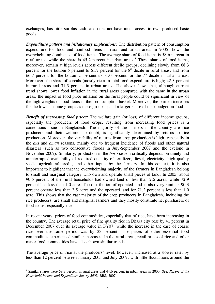exchanges, has little surplus cash, and does not have much access to own produced basic goods.

*Expenditure pattern and inflationary implications:* The distribution pattern of consumption expenditure for food and nonfood items in rural and urban areas in 2005 shows the overwhelming dominance of food items. The average share of food items is 58.6 percent in rural areas; while the share is  $45.2$  percent in urban areas.<sup>[3](#page-4-0)</sup> These shares of food items, moreover, remain at high levels across different decile groups; declining slowly from 68.3 percent for the bottom 5 percent to 61.7 percent for the  $8<sup>th</sup>$  decile in rural areas; and from 66.7 percent for the bottom 5 percent to 51.0 percent for the  $7<sup>th</sup>$  decile in urban areas. Moreover, the share of cereals (mostly rice) in total food expenditure is high; 42.3 percent in rural areas and 31.3 percent in urban areas. The above shows that, although current trend shows lower food inflation in the rural areas compared with the same in the urban areas, the impact of food price inflation on the rural people could be significant in view of the high weights of food items in their consumption basket. Moreover, the burden increases for the lower income groups as these groups spend a larger share of their budget on food.

*Benefit of increasing food prices:* The welfare gain (or loss) of different income groups, especially the producers of food crops, resulting from increasing food prices is a contentious issue in Bangladesh. The majority of the farmers in the country are rice producers and their welfare, no doubt, is significantly determined by returns to rice production. Moreover, the variability of returns from crop production is high, especially in the *aus* and *aman* seasons, mainly due to frequent incidence of floods and other natural disasters (such as two consecutive floods in July-September 2007 and the cyclone in November 2007). Similarly, production in the *boro* season critically depends on timely and uninterrupted availability of required quantity of fertilizer, diesel, electricity, high quality seeds, agricultural credit, and other inputs by the farmers. In this context, it is also important to highlight that the overwhelming majority of the farmers in Bangladesh belong to small and marginal category who own and operate small pieces of land. In 2005, about 90.5 percent of the rural households had owned land of less than 2.5 acres; while 72.9 percent had less than 1.0 acre. The distribution of operated land is also very similar: 90.3 percent operate less than 2.5 acres and the operated land for 71.2 percent is less than 1.0 acre. This shows that the vast majority of the crop producers in Bangladesh, including the rice producers, are small and marginal farmers and they mostly constitute net purchasers of food items, especially rice.

In recent years, prices of food commodities, especially that of rice, have been increasing in the country. The average retail price of fine quality rice in Dhaka city rose by 41 percent in December 2007 over its average value in FY07; while the increase in the case of coarse rice over the same period was by 33 percent. The prices of other essential food commodities experienced similar increases. In the rural areas, retail prices of rice and other major food commodities have also shown similar trends.

The average price of rice at the producers' level, however, increased at a slower rate; by less than 12 percent between January 2005 and July 2007, with little fluctuations around the

<span id="page-4-0"></span><sup>1</sup> 3 Similar shares were 59.3 percent in rural areas and 44.6 percent in urban areas in 2000. See, *Report of the Household Income and Expenditure Survey 2005,* BBS, 2007.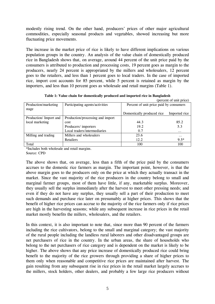modestly rising trend. On the other hand, producers' prices of other major agricultural commodities, especially seasonal products and vegetables, showed increasing but more fluctuating price movements.

The increase in the market price of rice is likely to have different implications on various population groups in the country. An analysis of the value chain of domestically produced rice in Bangladesh shows that, on average, around 44 percent of the unit price paid by the consumers is attributed to production and processing costs, 19 percent goes as margin to the producers, nearly 24 percent is appropriated by the millers and wholesalers, 12 percent goes to the retailers, and less than 1 percent goes to local traders. In the case of imported rice, import cost accounts for 85 percent, while 5 percent is retained as margin by the importers, and less than 10 percent goes as wholesale and retail margins (Table 1).

|                       |                                  | (percent of unit price)                 |               |
|-----------------------|----------------------------------|-----------------------------------------|---------------|
| Production/marketing  | Participating agents/activities  | Percent of unit price paid by consumers |               |
| stage                 |                                  |                                         |               |
|                       |                                  | Domestically produced rice              | Imported rice |
| Production/Import and | Production/processing and import |                                         |               |
| local marketing       | cost                             | 44.3                                    | 85.2          |
|                       | Producers/importers              | 19.2                                    | 5.3           |
|                       | Local traders/intermediaries     | 0.7                                     | $\cdots$      |
| Milling and trading   | Millers and wholesalers          | 23.6                                    | $\cdots$      |
|                       | Retailers                        | 12.2                                    | $9.5*$        |
| Total                 |                                  | 100                                     | 100           |

**Table 1: Value chain for domestically produced and imported rice in Bangladesh** 

\*Includes both wholesale and retail margins. Source: CPD

The above shows that, on average, less than a fifth of the price paid by the consumers accrues to the domestic rice farmers as margin. The important point, however, is that the above margin goes to the producers only on the price at which they actually transact in the market. Since the vast majority of the rice producers in the country belong to small and marginal farmer groups, most of them have little, if any, marketable surplus. Moreover, they usually sell the surplus immediately after the harvest to meet other pressing needs; and even if they do not have any surplus, they usually sell a part of their production to meet such demands and purchase rice later on presumably at higher prices. This shows that the benefit of higher rice prices can accrue to the majority of the rice farmers only if rice prices are high in the harvesting seasons; while any subsequent increase in rice prices in the retail market mostly benefits the millers, wholesalers, and the retailers.

In this context, it is also important to note that, since more than 90 percent of the farmers including the rice cultivators, belong to the small and marginal category; the vast majority of the rural people including the landless rural laborers and other disadvantaged groups are net purchasers of rice in the country. In the urban areas, the share of households who belong to the net purchasers of rice category and is dependent on the market is likely to be higher. The above shows that any price increase of domestically produced rice could bring benefit to the majority of the rice growers through providing a share of higher prices to them only when reasonable and competitive rice prices are maintained after harvest. The gain resulting from any subsequent rise in rice prices in the retail market largely accrues to the millers, stock holders, other dealers, and probably a few large rice producers without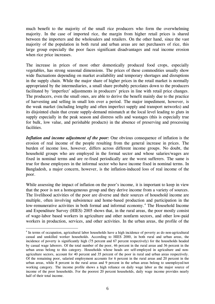much benefit to the majority of the small rice producers who form the overwhelming majority. In the case of imported rice, the margin from higher retail prices is shared between the importers and the wholesalers and retailers. On the other hand, since the vast majority of the population in both rural and urban areas are net purchasers of rice, this large group especially the poor faces significant disadvantages and real income erosion when rice price increases.

The increase in prices of most other domestically produced food crops, especially vegetables, has strong seasonal dimensions. The prices of these commodities usually show wide fluctuations depending on market availability and temporary shortages and disruptions in the supply chain. While the major share of higher prices in the retail market is normally appropriated by the intermediaries, a small share probably percolates down to the producers facilitated by 'imperfect' adjustments in producers' prices in line with retail price changes. The producers, even the small ones, are able to derive the benefit mainly due to the practice of harvesting and selling in small lots over a period. The major impediment, however, is the weak market (including lengthy and often imperfect supply and transport networks) and its disjointed chain that create supply-demand mismatch at the local level leading to gluts in supply especially in the peak season and distress sells and wastages (this is especially true for bulk, low value, and perishable products) in the absence of preserving and processing facilities.

*Inflation and income adjustment of the poor:* One obvious consequence of inflation is the erosion of real income of the people resulting from the general increase in prices. The burden of income loss, however, differs across different income groups. No doubt, the household groups who are employed in the formal sector and whose salaries/wages are fixed in nominal terms and are re-fixed periodically are the worst sufferers. The same is true for those employees in the informal sector who have income fixed in nominal terms. In Bangladesh, a major concern, however, is the inflation-induced loss of real income of the poor.

While assessing the impact of inflation on the poor's income, it is important to keep in view that the poor is not a homogeneous group and they derive income from a variety of sources. The livelihood activities of the poor are diverse and their sources of household income are multiple, often involving subsistence and home-based production and participation in the low-remunerative activities in both formal and informal economy.<sup>[4](#page-6-0)</sup> The Household Income and Expenditure Survey (HIES) 2005 shows that, in the rural areas, the poor mostly consist of wage-labor based workers in agriculture and other nonfarm sectors, and other low-paid workers in production, services, and other activities. In the urban areas, the profile of the

1

<span id="page-6-0"></span><sup>4</sup> In terms of occupation, agricultural labor households have a high incidence of poverty as do non-agricultural casual and unskilled worker households. According to HIES 2000, in both rural and urban areas, the incidence of poverty is significantly high (75 percent and 67 percent respectively) for the households headed by casual wage laborers. Of the total number of the poor, 46 percent in the rural areas and 36 percent in the urban areas belong to this category. Households whose heads are self-employed in agriculture and nonagriculture sectors, account for 40 percent and 35 percent of the poor in rural and urban areas respectively. Of the remaining poor, salaried employment accounts for 6 percent in the rural areas and 20 percent in the urban areas, while 8 percent in the rural areas and 9 percent in the urban areas belong to unemployed/not working category. The income profile shows a high reliance on daily wage labor as the major source of income of the poor households. For the poorest 20 percent households, daily wage income provides nearly half of their total income.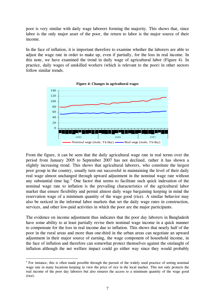poor is very similar with daily wage laborers forming the majority. This shows that, since labor is the only major asset of the poor, the return to labor is the major source of their income.

In the face of inflation, it is important therefore to examine whether the laborers are able to adjust the wage rate in order to make up, even if partially, for the loss in real income. In this note, we have examined the trend in daily wage of agricultural labor (Figure 4). In practice, daily wages of unskilled workers (which is relevant to the poor) in other sectors follow similar trends.





From the figure, it can be seen that the daily agricultural wage rate in real terms over the period from January 2005 to September 2007 has not declined, rather it has shown a slightly increasing trend. This shows that agricultural laborers, who constitute the largest poor group in the country, usually turn out successful in maintaining the level of their daily real wage almost unchanged through upward adjustment in the nominal wage rate without any substantial time lag.<sup>[5](#page-7-0)</sup> One factor that seems to facilitate such quick indexation of the nominal wage rate to inflation is the prevailing characteristics of the agricultural labor market that ensure flexibility and permit almost daily wage bargaining keeping in mind the reservation wage of a minimum quantity of the wage good (rice). A similar behavior may also be noticed in the informal labor markets that set the daily wage rates in construction, services, and other low-paid activities in which the poor are the major participants.

The evidence on income adjustment thus indicates that the poor day laborers in Bangladesh have some ability to at least partially revise their nominal wage income in a quick manner to compensate for the loss in real income due to inflation. This shows that nearly half of the poor in the rural areas and more than one-third in the urban areas can negotiate an upward adjustment in their major source of earning, the wage component of household income, in the face of inflation and therefore can somewhat protect themselves against the onslaught of inflation although the net welfare impact could go either way since they would probably

1

<span id="page-7-0"></span><sup>&</sup>lt;sup>5</sup> For instance, this is often made possible through the pursuit of the widely used practice of setting nominal wage rate in many locations keeping in view the price of rice in the local market. This not only protects the real income of the poor day laborers but also ensures the access to a minimum quantity of the wage good (rice).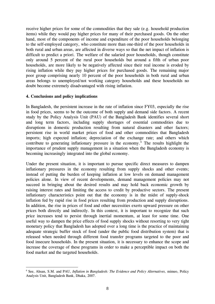receive higher prices for some of the commodities that they sale (e.g. household production items) while they would pay higher prices for many of their purchased goods. On the other hand, most of the components of income and expenditure of the poor households belonging to the self-employed category, who constitute more than one-third of the poor households in both rural and urban areas, are affected in diverse ways so that the net impact of inflation is difficult to predict a priori. The welfare of the salaried poor households, though constitute only around 5 percent of the rural poor households but around a fifth of urban poor households, are more likely to be negatively affected since their real income is eroded by rising inflation while they pay higher prices for purchased goods. The remaining major poor group comprising nearly 10 percent of the poor households in both rural and urban areas belongs to unemployed/not working category households and these households no doubt become extremely disadvantaged with rising inflation.

## **4. Conclusions and policy implications**

1

In Bangladesh, the persistent increase in the rate of inflation since FY03, especially the rise in food prices, seems to be the outcome of both supply and demand side factors. A recent study by the Policy Analysis Unit (PAU) of the Bangladesh Bank identifies several short and long term factors, including supply shortages of essential commodities due to disruptions in domestic production resulting from natural disasters and other factors; persistent rise in world market prices of food and other commodities that Bangladesh imports; high expected inflation; depreciation of the exchange rate; and others which contribute to generating inflationary pressure in the economy.<sup>[6](#page-8-0)</sup> The results highlight the importance of prudent supply management in a situation when the Bangladesh economy is becoming increasingly integrated into the global economy.

Under the present situation, it is important to pursue specific direct measures to dampen inflationary pressures in the economy resulting from supply shocks and other events; instead of putting the burden of keeping inflation at low levels on demand management policies alone. In view of recent developments, demand management policies may not succeed in bringing about the desired results and may hold back economic growth by raising interest rates and limiting the access to credit by productive sectors. The present inflationary characteristics point out that the economy is in the midst of supply-shock inflation fed by rapid rise in food prices resulting from production and supply disruptions. In addition, the rise in prices of food and other necessities exerts upward pressure on other prices both directly and indirectly. In this context, it is important to recognize that such price increases tend to persist through inertial momentum, at least for some time. One useful way to dampen the price effects of food supply shocks without resorting to very tight monetary policy that Bangladesh has adopted over a long time is the practice of maintaining adequate strategic buffer stock of food (under the public food distribution system) that is released when needed through different food transfer programs targeted to the poor and food insecure households. In the present situation, it is necessary to enhance the scope and increase the coverage of these programs in order to make a perceptible impact on both the food market and the targeted households.

<span id="page-8-0"></span><sup>6</sup> See, Ahsan, S.M. and PAU, *Inflation in Bangladesh: The Evidence and Policy Alternatives,* mimeo, Policy Analysis Unit, Bangladesh Bank, Dhaka, 2007.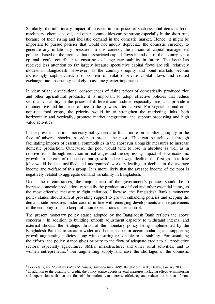Similarly, the inflationary impact of a rise in import prices of such essential items as food, machinery, chemicals, oil, and other commodities can be strong especially in the short run, because of their rising and inelastic demand in the domestic market. Hence, it might be important to pursue policies that would not unduly depreciate the domestic currency to generate any inflationary pressure. In this context, the pursuit of capital management policies, based on the premise that unrestricted capital flows in and out of the country is not optimal, could contribute to ensuring exchange rate stability in future. The issue has received less attention so far largely because speculative capital flows are still relatively modest in Bangladesh. However, as the country's equity and bond markets become increasingly sophisticated, the problem of volatile private capital flows and related exchange rate uncertainty is likely to assume greater importance.

In view of the distributional consequences of rising prices of domestically produced rice and other agricultural products, it is important to adopt effective policies that reduce seasonal variability in the prices of different commodities especially rice, and provide a remunerative and fair price of rice to the growers after harvest. For vegetables and other non-rice food crops, the priority would be to strengthen the marketing links, both horizontally and vertically, promote market integration, and support processing and high value activities.

In the present situation, monetary policy needs to focus more on stabilizing supply in the face of adverse shocks in order to protect the poor. This can be achieved through facilitating imports of essential commodities in the short run alongside measures to increase domestic production. Otherwise, the poor would tend to lose in absolute as well as in relative terms through reduction in real wages and the depressing impact of slow economic growth. In the case of reduced output growth and real wage decline, the first group to lose jobs would be the unskilled and unorganized workers leading to decline in the average income and welfare of this group. It is more likely that the average income of the poor is negatively related to aggregate demand variability in Bangladesh.

Under the circumstances, the major thrust of the government's policies should be to increase domestic production, especially the production of food and other essential items, as the most effective measure to fight inflation. Likewise, the Bangladesh Bank's monetary policy stance should aim at providing support to growth enhancing policies and keeping the demand side pressures under control in line with emerging developments and requirements of the economy so as to keep inflation expectations under control.

The present monetary policy stance adopted by the Bangladesh Bank reflects the above concerns.<sup>[7](#page-9-0)</sup> In addition to building smooth adjustment capacity to withstand internal and external shocks, the strategic thrust of the monetary policy being implemented by the Bangladesh Bank is to create a wider and better scope for accommodating and supporting growth augmenting policies along with ensuring reasonable price stability. For sustaining the efforts, the policy stance gives priority to the flow of adequate credit to all productive sectors, especially agriculture, SMEs, infrastructure, and other rural activities; and to women entrepreneurs.<sup>[8](#page-9-1)</sup> For augmenting supply and ease the shortages in the domestic

<sup>1</sup> <sup>7</sup> For details, see *Monetary Policy Statement, January-June 2008*, Bangladesh Bank, Dhaka, January 2008.<br><sup>8</sup> In addition to the quantity of credit, the policy stance adopts several measures including effective monitor

<span id="page-9-1"></span><span id="page-9-0"></span><sup>&</sup>lt;sup>8</sup> In addition to the quantity of credit, the policy stance adopts several measures including effective monitoring and supervision such that the financial institutions can increase efficiency and reduce the burden of non-